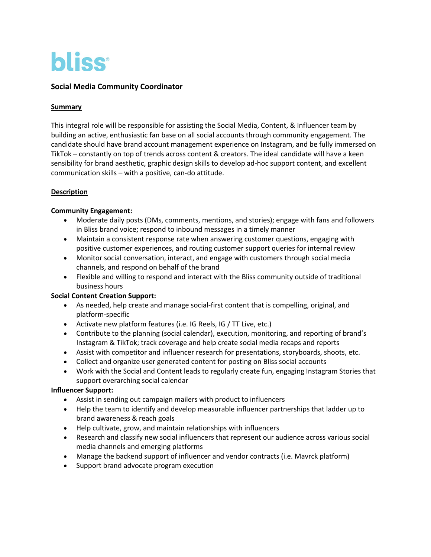

# **Social Media Community Coordinator**

#### **Summary**

This integral role will be responsible for assisting the Social Media, Content, & Influencer team by building an active, enthusiastic fan base on all social accounts through community engagement. The candidate should have brand account management experience on Instagram, and be fully immersed on TikTok – constantly on top of trends across content & creators. The ideal candidate will have a keen sensibility for brand aesthetic, graphic design skills to develop ad-hoc support content, and excellent communication skills – with a positive, can-do attitude.

### **Description**

#### **Community Engagement:**

- Moderate daily posts (DMs, comments, mentions, and stories); engage with fans and followers in Bliss brand voice; respond to inbound messages in a timely manner
- Maintain a consistent response rate when answering customer questions, engaging with positive customer experiences, and routing customer support queries for internal review
- Monitor social conversation, interact, and engage with customers through social media channels, and respond on behalf of the brand
- Flexible and willing to respond and interact with the Bliss community outside of traditional business hours

### **Social Content Creation Support:**

- As needed, help create and manage social-first content that is compelling, original, and platform-specific
- Activate new platform features (i.e. IG Reels, IG / TT Live, etc.)
- Contribute to the planning (social calendar), execution, monitoring, and reporting of brand's Instagram & TikTok; track coverage and help create social media recaps and reports
- Assist with competitor and influencer research for presentations, storyboards, shoots, etc.
- Collect and organize user generated content for posting on Bliss social accounts
- Work with the Social and Content leads to regularly create fun, engaging Instagram Stories that support overarching social calendar

### **Influencer Support:**

- Assist in sending out campaign mailers with product to influencers
- Help the team to identify and develop measurable influencer partnerships that ladder up to brand awareness & reach goals
- Help cultivate, grow, and maintain relationships with influencers
- Research and classify new social influencers that represent our audience across various social media channels and emerging platforms
- Manage the backend support of influencer and vendor contracts (i.e. Mavrck platform)
- Support brand advocate program execution